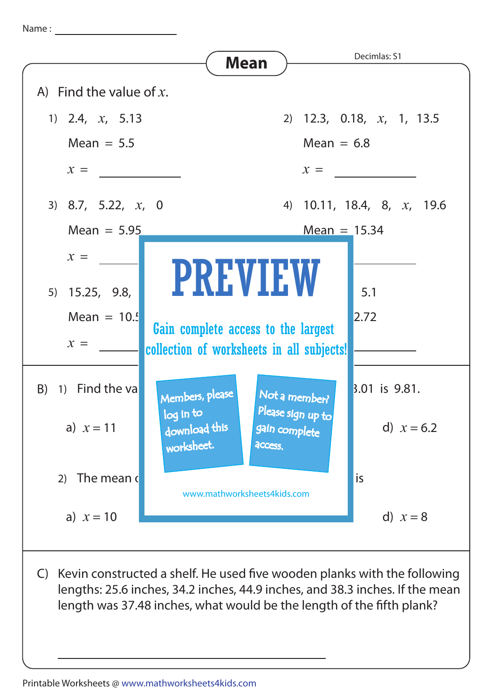Name :